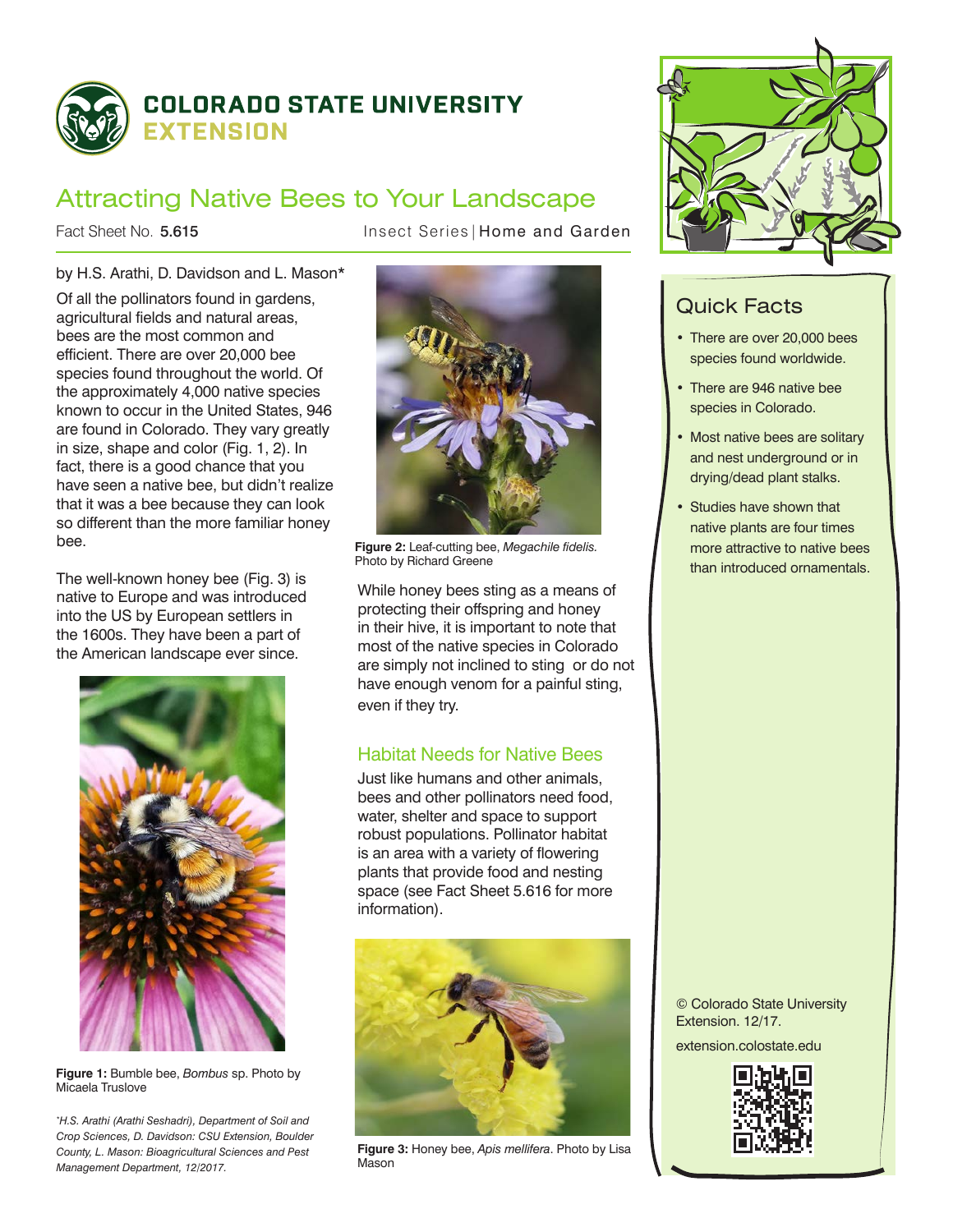

# Attracting Native Bees to Your Landscape

Fact Sheet No. 5.615

Insect Series | Home and Garden

## by H.S. Arathi, D. Davidson and L. Mason\*

Of all the pollinators found in gardens, agricultural fields and natural areas, bees are the most common and efficient. There are over 20,000 bee species found throughout the world. Of the approximately 4,000 native species known to occur in the United States, 946 are found in Colorado. They vary greatly in size, shape and color (Fig. 1, 2). In fact, there is a good chance that you have seen a native bee, but didn't realize that it was a bee because they can look so different than the more familiar honey bee.

The well-known honey bee (Fig. 3) is native to Europe and was introduced into the US by European settlers in the 1600s. They have been a part of the American landscape ever since.



**Figure 1:** Bumble bee, *Bombus* sp. Photo by Micaela Truslove

*\* H.S. Arathi (Arathi Seshadri), Department of Soil and Crop Sciences, D. Davidson: CSU Extension, Boulder County, L. Mason: Bioagricultural Sciences and Pest Management Department, 12/2017.*



**Figure 2:** Leaf-cutting bee, *Megachile fidelis.* Photo by Richard Greene

While honey bees sting as a means of protecting their offspring and honey in their hive, it is important to note that most of the native species in Colorado are simply not inclined to sting or do not have enough venom for a painful sting, even if they try.

## Habitat Needs for Native Bees

Just like humans and other animals, bees and other pollinators need food, water, shelter and space to support robust populations. Pollinator habitat is an area with a variety of flowering plants that provide food and nesting space (see Fact Sheet 5.616 for more information).



**Figure 3:** Honey bee, *Apis mellifera*. Photo by Lisa Mason



## Quick Facts

- There are over 20,000 bees species found worldwide.
- There are 946 native bee species in Colorado.
- Most native bees are solitary and nest underground or in drying/dead plant stalks.
- Studies have shown that native plants are four times more attractive to native bees than introduced ornamentals.

© Colorado State University Extension. 12/17. extension.colostate.edu

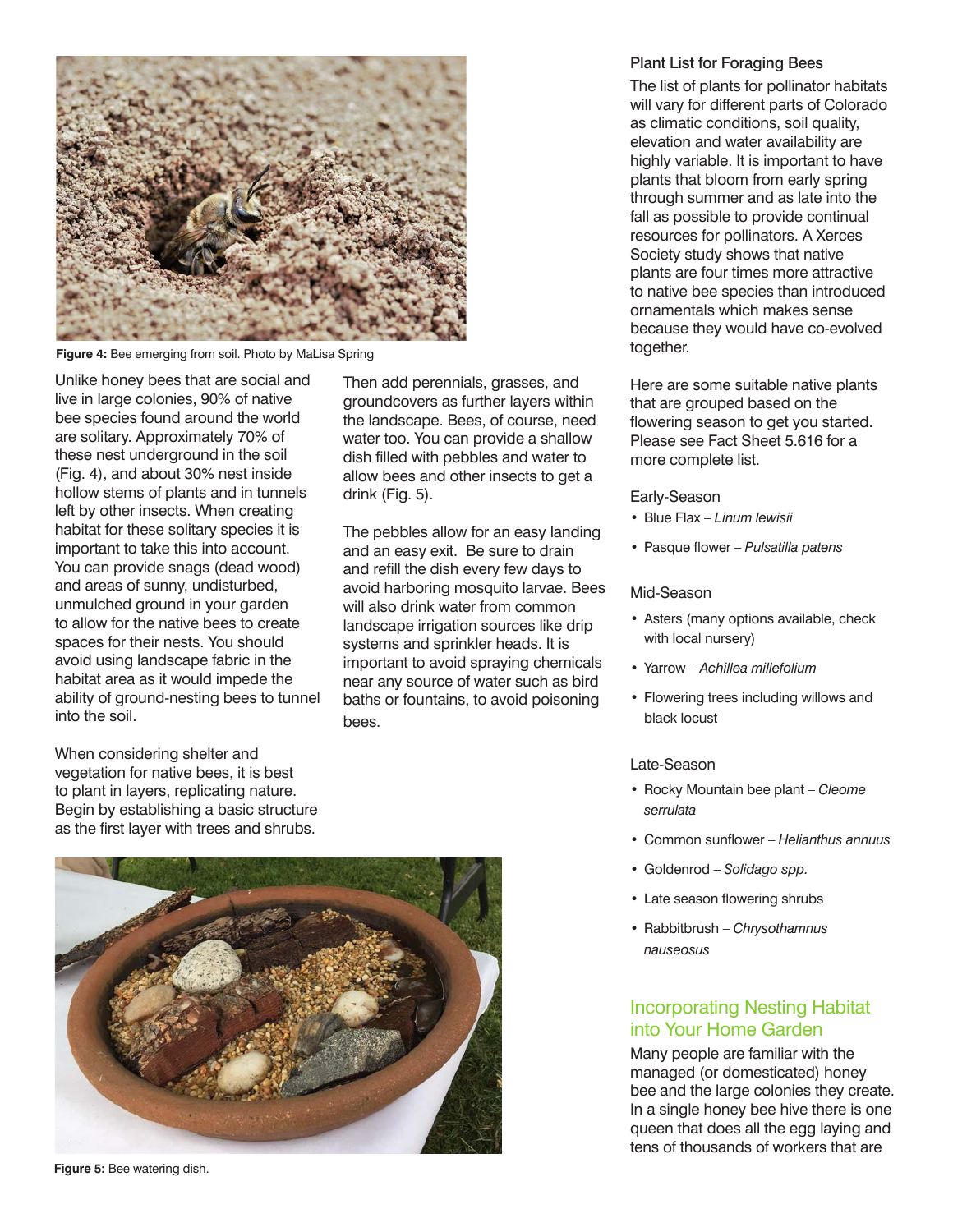

**Figure 4:** Bee emerging from soil. Photo by MaLisa Spring

Unlike honey bees that are social and live in large colonies, 90% of native bee species found around the world are solitary. Approximately 70% of these nest underground in the soil (Fig. 4), and about 30% nest inside hollow stems of plants and in tunnels left by other insects. When creating habitat for these solitary species it is important to take this into account. You can provide snags (dead wood) and areas of sunny, undisturbed, unmulched ground in your garden to allow for the native bees to create spaces for their nests. You should avoid using landscape fabric in the habitat area as it would impede the ability of ground-nesting bees to tunnel into the soil.

When considering shelter and vegetation for native bees, it is best to plant in layers, replicating nature. Begin by establishing a basic structure as the first layer with trees and shrubs.

#### **Figure 5:** Bee watering dish.

Then add perennials, grasses, and groundcovers as further layers within the landscape. Bees, of course, need water too. You can provide a shallow dish filled with pebbles and water to allow bees and other insects to get a drink (Fig. 5).

The pebbles allow for an easy landing and an easy exit. Be sure to drain and refill the dish every few days to avoid harboring mosquito larvae. Bees will also drink water from common landscape irrigation sources like drip systems and sprinkler heads. It is important to avoid spraying chemicals near any source of water such as bird baths or fountains, to avoid poisoning bees.

#### Plant List for Foraging Bees

The list of plants for pollinator habitats will vary for different parts of Colorado as climatic conditions, soil quality, elevation and water availability are highly variable. It is important to have plants that bloom from early spring through summer and as late into the fall as possible to provide continual resources for pollinators. A Xerces Society study shows that native plants are four times more attractive to native bee species than introduced ornamentals which makes sense because they would have co-evolved together.

Here are some suitable native plants that are grouped based on the flowering season to get you started. Please see Fact Sheet 5.616 for a more complete list.

#### Early-Season

- • Blue Flax *Linum lewisii*
- • Pasque flower *Pulsatilla patens*

#### Mid-Season

- Asters (many options available, check with local nursery)
- • Yarrow *Achillea millefolium*
- • Flowering trees including willows and black locust

#### Late-Season

- • Rocky Mountain bee plant *Cleome serrulata*
- • Common sunflower *Helianthus annuus*
- • Goldenrod *Solidago spp.*
- Late season flowering shrubs
- • Rabbitbrush *Chrysothamnus nauseosus*

## Incorporating Nesting Habitat into Your Home Garden

Many people are familiar with the managed (or domesticated) honey bee and the large colonies they create. In a single honey bee hive there is one queen that does all the egg laying and tens of thousands of workers that are